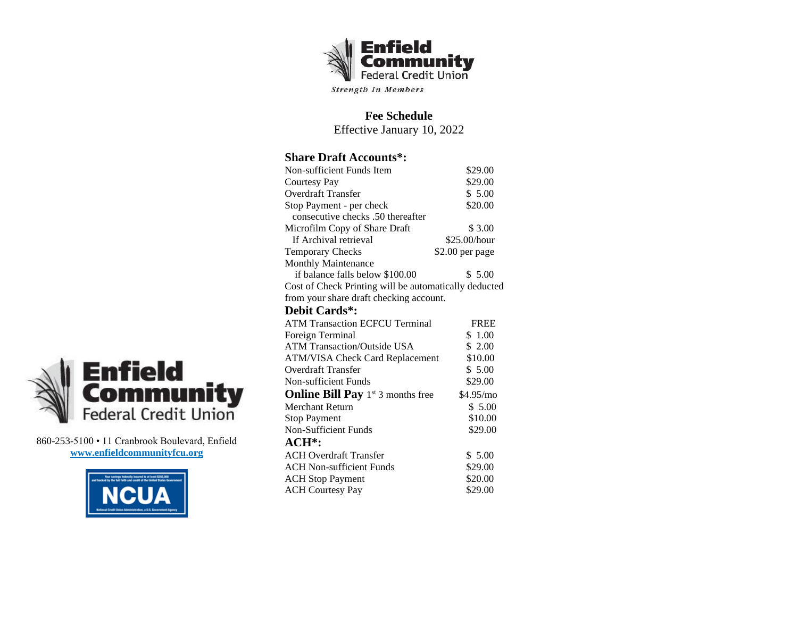

**Fee Schedule** Effective January 10, 2022

## **Share Draft Accounts\*:**

| Non-sufficient Funds Item                             | \$29.00         |  |
|-------------------------------------------------------|-----------------|--|
| <b>Courtesy Pay</b>                                   | \$29.00         |  |
| Overdraft Transfer                                    | \$5.00          |  |
| Stop Payment - per check                              | \$20.00         |  |
| consecutive checks .50 thereafter                     |                 |  |
| Microfilm Copy of Share Draft                         | \$3.00          |  |
| If Archival retrieval                                 | \$25.00/hour    |  |
| <b>Temporary Checks</b>                               | \$2.00 per page |  |
| <b>Monthly Maintenance</b>                            |                 |  |
| if balance falls below \$100.00                       | \$5.00          |  |
| Cost of Check Printing will be automatically deducted |                 |  |
| from your share draft checking account.               |                 |  |
| Debit Cards*:                                         |                 |  |
| <b>ATM Transaction ECFCU Terminal</b>                 | <b>FREE</b>     |  |
| Foreign Terminal                                      | \$1.00          |  |
| <b>ATM Transaction/Outside USA</b>                    | \$2.00          |  |
| <b>ATM/VISA Check Card Replacement</b>                | \$10.00         |  |
| Overdraft Transfer                                    | \$5.00          |  |
| Non-sufficient Funds                                  | \$29.00         |  |
| <b>Online Bill Pay</b> $1^{st}$ 3 months free         | \$4.95/mo       |  |
| Merchant Return                                       | \$5.00          |  |
| <b>Stop Payment</b>                                   | \$10.00         |  |
| <b>Non-Sufficient Funds</b>                           | \$29.00         |  |
| $ACH^*$ :                                             |                 |  |
| <b>ACH Overdraft Transfer</b>                         | \$5.00          |  |
| <b>ACH Non-sufficient Funds</b>                       | \$29.00         |  |
| <b>ACH</b> Stop Payment                               | \$20.00         |  |
| <b>ACH Courtesy Pay</b>                               | \$29.00         |  |



860-253-5100 • 11 Cranbrook Boulevard, Enfield **[www.enfieldcommunityfcu.or](http://www.enfieldcommunityfcu.o/)g**